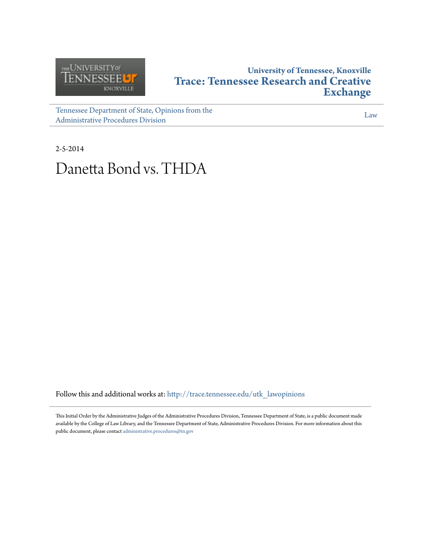

## **University of Tennessee, Knoxville [Trace: Tennessee Research and Creative](http://trace.tennessee.edu?utm_source=trace.tennessee.edu%2Futk_lawopinions%2F6364&utm_medium=PDF&utm_campaign=PDFCoverPages) [Exchange](http://trace.tennessee.edu?utm_source=trace.tennessee.edu%2Futk_lawopinions%2F6364&utm_medium=PDF&utm_campaign=PDFCoverPages)**

[Tennessee Department of State, Opinions from the](http://trace.tennessee.edu/utk_lawopinions?utm_source=trace.tennessee.edu%2Futk_lawopinions%2F6364&utm_medium=PDF&utm_campaign=PDFCoverPages) [Administrative Procedures Division](http://trace.tennessee.edu/utk_lawopinions?utm_source=trace.tennessee.edu%2Futk_lawopinions%2F6364&utm_medium=PDF&utm_campaign=PDFCoverPages)

[Law](http://trace.tennessee.edu/utk-law?utm_source=trace.tennessee.edu%2Futk_lawopinions%2F6364&utm_medium=PDF&utm_campaign=PDFCoverPages)

2-5-2014

# Danetta Bond vs. THDA

Follow this and additional works at: [http://trace.tennessee.edu/utk\\_lawopinions](http://trace.tennessee.edu/utk_lawopinions?utm_source=trace.tennessee.edu%2Futk_lawopinions%2F6364&utm_medium=PDF&utm_campaign=PDFCoverPages)

This Initial Order by the Administrative Judges of the Administrative Procedures Division, Tennessee Department of State, is a public document made available by the College of Law Library, and the Tennessee Department of State, Administrative Procedures Division. For more information about this public document, please contact [administrative.procedures@tn.gov](mailto:administrative.procedures@tn.gov)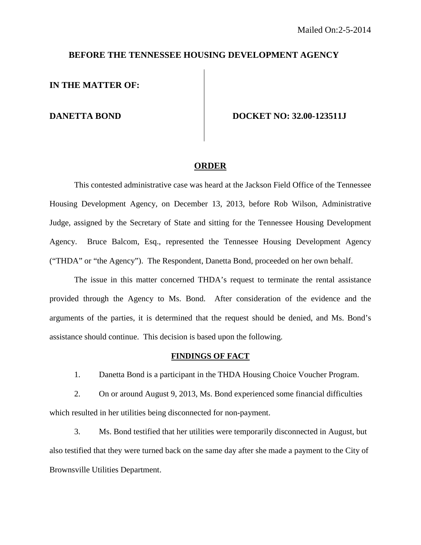#### **BEFORE THE TENNESSEE HOUSING DEVELOPMENT AGENCY**

**IN THE MATTER OF:** 

**DANETTA BOND DOCKET NO: 32.00-123511J** 

#### **ORDER**

This contested administrative case was heard at the Jackson Field Office of the Tennessee Housing Development Agency, on December 13, 2013, before Rob Wilson, Administrative Judge, assigned by the Secretary of State and sitting for the Tennessee Housing Development Agency. Bruce Balcom, Esq., represented the Tennessee Housing Development Agency ("THDA" or "the Agency"). The Respondent, Danetta Bond, proceeded on her own behalf.

The issue in this matter concerned THDA's request to terminate the rental assistance provided through the Agency to Ms. Bond. After consideration of the evidence and the arguments of the parties, it is determined that the request should be denied, and Ms. Bond's assistance should continue. This decision is based upon the following.

#### **FINDINGS OF FACT**

1. Danetta Bond is a participant in the THDA Housing Choice Voucher Program.

 2. On or around August 9, 2013, Ms. Bond experienced some financial difficulties which resulted in her utilities being disconnected for non-payment.

 3. Ms. Bond testified that her utilities were temporarily disconnected in August, but also testified that they were turned back on the same day after she made a payment to the City of Brownsville Utilities Department.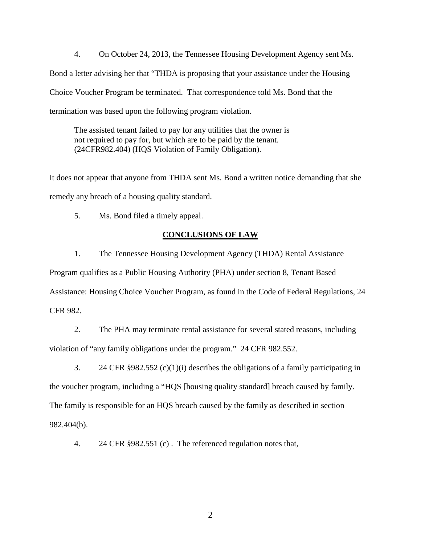4. On October 24, 2013, the Tennessee Housing Development Agency sent Ms. Bond a letter advising her that "THDA is proposing that your assistance under the Housing Choice Voucher Program be terminated. That correspondence told Ms. Bond that the termination was based upon the following program violation.

The assisted tenant failed to pay for any utilities that the owner is not required to pay for, but which are to be paid by the tenant. (24CFR982.404) (HQS Violation of Family Obligation).

It does not appear that anyone from THDA sent Ms. Bond a written notice demanding that she remedy any breach of a housing quality standard.

5. Ms. Bond filed a timely appeal.

### **CONCLUSIONS OF LAW**

 1. The Tennessee Housing Development Agency (THDA) Rental Assistance Program qualifies as a Public Housing Authority (PHA) under section 8, Tenant Based Assistance: Housing Choice Voucher Program, as found in the Code of Federal Regulations, 24 CFR 982.

 2. The PHA may terminate rental assistance for several stated reasons, including violation of "any family obligations under the program." 24 CFR 982.552.

 3. 24 CFR §982.552 (c)(1)(i) describes the obligations of a family participating in the voucher program, including a "HQS [housing quality standard] breach caused by family. The family is responsible for an HQS breach caused by the family as described in section 982.404(b).

4. 24 CFR §982.551 (c) . The referenced regulation notes that,

2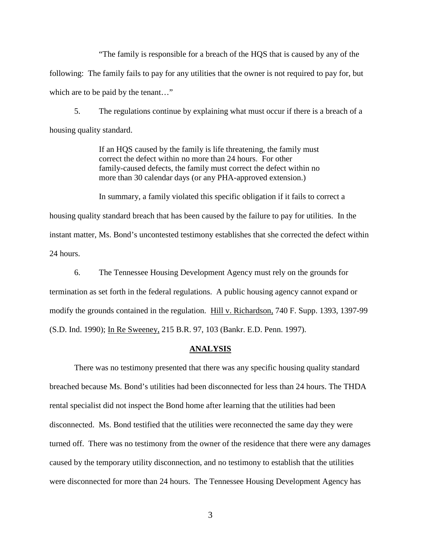"The family is responsible for a breach of the HQS that is caused by any of the following: The family fails to pay for any utilities that the owner is not required to pay for, but which are to be paid by the tenant..."

 5. The regulations continue by explaining what must occur if there is a breach of a housing quality standard.

> If an HQS caused by the family is life threatening, the family must correct the defect within no more than 24 hours. For other family-caused defects, the family must correct the defect within no more than 30 calendar days (or any PHA-approved extension.)

In summary, a family violated this specific obligation if it fails to correct a housing quality standard breach that has been caused by the failure to pay for utilities. In the instant matter, Ms. Bond's uncontested testimony establishes that she corrected the defect within 24 hours.

 6. The Tennessee Housing Development Agency must rely on the grounds for termination as set forth in the federal regulations. A public housing agency cannot expand or modify the grounds contained in the regulation. Hill v. Richardson, 740 F. Supp. 1393, 1397-99 (S.D. Ind. 1990); In Re Sweeney, 215 B.R. 97, 103 (Bankr. E.D. Penn. 1997).

#### **ANALYSIS**

 There was no testimony presented that there was any specific housing quality standard breached because Ms. Bond's utilities had been disconnected for less than 24 hours. The THDA rental specialist did not inspect the Bond home after learning that the utilities had been disconnected. Ms. Bond testified that the utilities were reconnected the same day they were turned off. There was no testimony from the owner of the residence that there were any damages caused by the temporary utility disconnection, and no testimony to establish that the utilities were disconnected for more than 24 hours. The Tennessee Housing Development Agency has

3